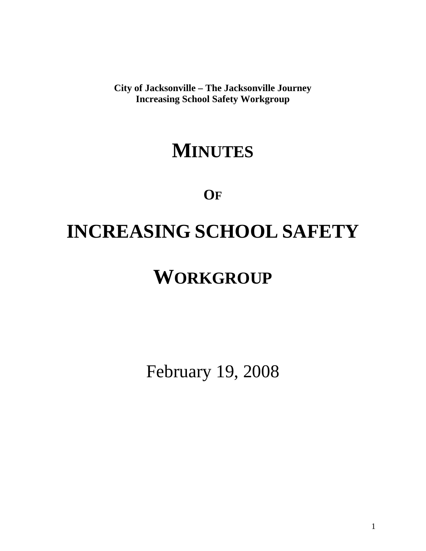**City of Jacksonville – The Jacksonville Journey Increasing School Safety Workgroup** 

### **MINUTES**

**OF**

# **INCREASING SCHOOL SAFETY**

## **WORKGROUP**

February 19, 2008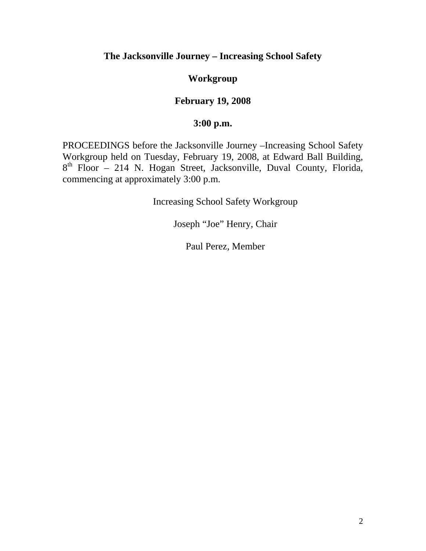#### **The Jacksonville Journey – Increasing School Safety**

#### **Workgroup**

#### **February 19, 2008**

#### **3:00 p.m.**

PROCEEDINGS before the Jacksonville Journey –Increasing School Safety Workgroup held on Tuesday, February 19, 2008, at Edward Ball Building, 8<sup>th</sup> Floor – 214 N. Hogan Street, Jacksonville, Duval County, Florida, commencing at approximately 3:00 p.m.

Increasing School Safety Workgroup

Joseph "Joe" Henry, Chair

Paul Perez, Member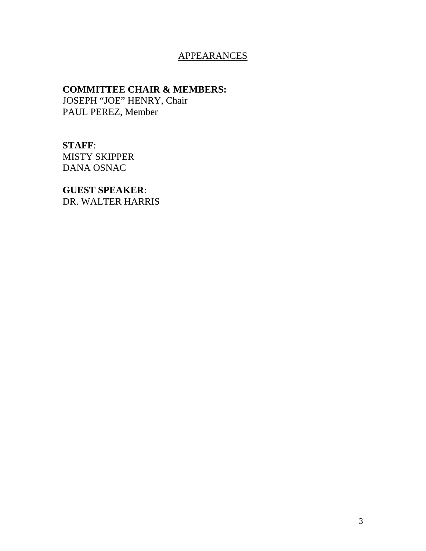#### **APPEARANCES**

#### **COMMITTEE CHAIR & MEMBERS:**

JOSEPH "JOE" HENRY, Chair PAUL PEREZ, Member

**STAFF**: MISTY SKIPPER DANA OSNAC

**GUEST SPEAKER**: DR. WALTER HARRIS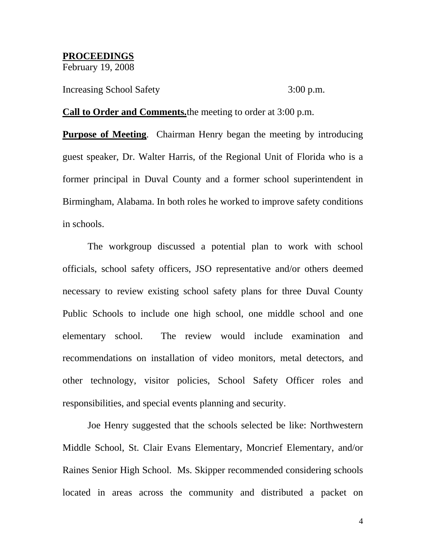### **PROCEEDINGS**

February 19, 2008

Increasing School Safety 3:00 p.m.

**Call to Order and Comments.**the meeting to order at 3:00 p.m.

**Purpose of Meeting**. Chairman Henry began the meeting by introducing guest speaker, Dr. Walter Harris, of the Regional Unit of Florida who is a former principal in Duval County and a former school superintendent in Birmingham, Alabama. In both roles he worked to improve safety conditions in schools.

The workgroup discussed a potential plan to work with school officials, school safety officers, JSO representative and/or others deemed necessary to review existing school safety plans for three Duval County Public Schools to include one high school, one middle school and one elementary school. The review would include examination and recommendations on installation of video monitors, metal detectors, and other technology, visitor policies, School Safety Officer roles and responsibilities, and special events planning and security.

Joe Henry suggested that the schools selected be like: Northwestern Middle School, St. Clair Evans Elementary, Moncrief Elementary, and/or Raines Senior High School. Ms. Skipper recommended considering schools located in areas across the community and distributed a packet on

4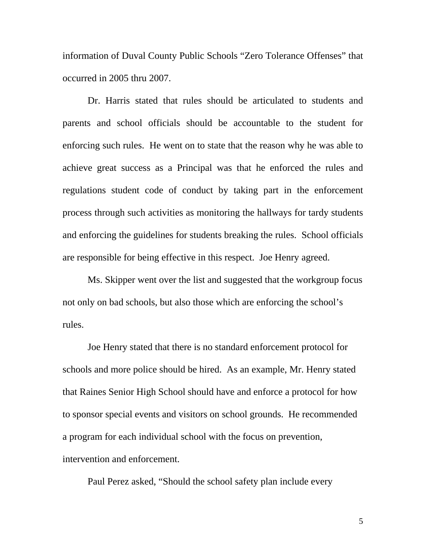information of Duval County Public Schools "Zero Tolerance Offenses" that occurred in 2005 thru 2007.

Dr. Harris stated that rules should be articulated to students and parents and school officials should be accountable to the student for enforcing such rules. He went on to state that the reason why he was able to achieve great success as a Principal was that he enforced the rules and regulations student code of conduct by taking part in the enforcement process through such activities as monitoring the hallways for tardy students and enforcing the guidelines for students breaking the rules. School officials are responsible for being effective in this respect. Joe Henry agreed.

Ms. Skipper went over the list and suggested that the workgroup focus not only on bad schools, but also those which are enforcing the school's rules.

Joe Henry stated that there is no standard enforcement protocol for schools and more police should be hired. As an example, Mr. Henry stated that Raines Senior High School should have and enforce a protocol for how to sponsor special events and visitors on school grounds. He recommended a program for each individual school with the focus on prevention, intervention and enforcement.

Paul Perez asked, "Should the school safety plan include every

5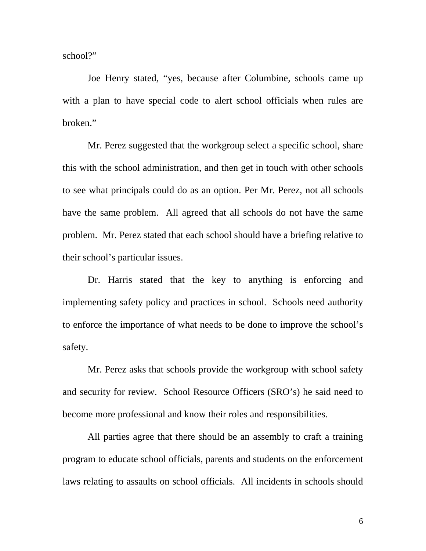school?"

Joe Henry stated, "yes, because after Columbine, schools came up with a plan to have special code to alert school officials when rules are broken."

Mr. Perez suggested that the workgroup select a specific school, share this with the school administration, and then get in touch with other schools to see what principals could do as an option. Per Mr. Perez, not all schools have the same problem. All agreed that all schools do not have the same problem. Mr. Perez stated that each school should have a briefing relative to their school's particular issues.

Dr. Harris stated that the key to anything is enforcing and implementing safety policy and practices in school. Schools need authority to enforce the importance of what needs to be done to improve the school's safety.

Mr. Perez asks that schools provide the workgroup with school safety and security for review. School Resource Officers (SRO's) he said need to become more professional and know their roles and responsibilities.

All parties agree that there should be an assembly to craft a training program to educate school officials, parents and students on the enforcement laws relating to assaults on school officials. All incidents in schools should

6